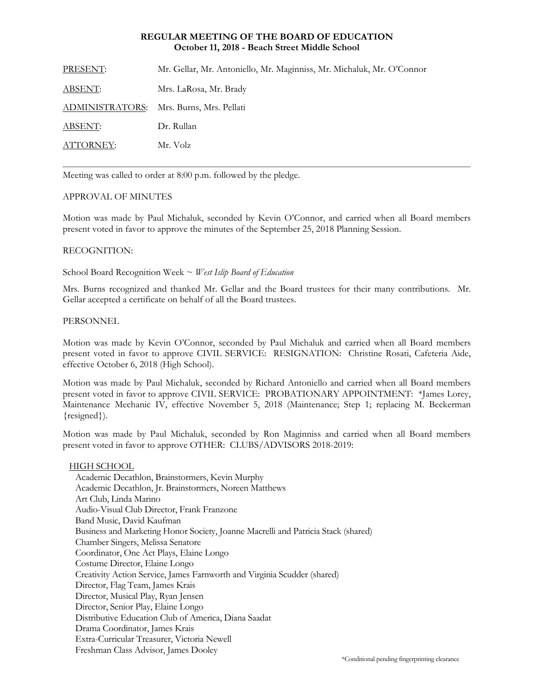## **REGULAR MEETING OF THE BOARD OF EDUCATION October 11, 2018 - Beach Street Middle School**

PRESENT: Mr. Gellar, Mr. Antoniello, Mr. Maginniss, Mr. Michaluk, Mr. O'Connor ABSENT: Mrs. LaRosa, Mr. Brady ADMINISTRATORS: Mrs. Burns, Mrs. Pellati ABSENT: Dr. Rullan ATTORNEY: Mr. Volz

Meeting was called to order at 8:00 p.m. followed by the pledge.

# APPROVAL OF MINUTES

Motion was made by Paul Michaluk, seconded by Kevin O'Connor, and carried when all Board members present voted in favor to approve the minutes of the September 25, 2018 Planning Session.

## RECOGNITION:

School Board Recognition Week ~ *West Islip Board of Education* 

Mrs. Burns recognized and thanked Mr. Gellar and the Board trustees for their many contributions. Mr. Gellar accepted a certificate on behalf of all the Board trustees.

### PERSONNEL

Motion was made by Kevin O'Connor, seconded by Paul Michaluk and carried when all Board members present voted in favor to approve CIVIL SERVICE:RESIGNATION: Christine Rosati, Cafeteria Aide, effective October 6, 2018 (High School).

Motion was made by Paul Michaluk, seconded by Richard Antoniello and carried when all Board members present voted in favor to approve CIVIL SERVICE:PROBATIONARY APPOINTMENT: \*James Lorey, Maintenance Mechanic IV, effective November 5, 2018 (Maintenance; Step 1; replacing M. Beckerman {resigned}).

Motion was made by Paul Michaluk, seconded by Ron Maginniss and carried when all Board members present voted in favor to approve OTHER: CLUBS/ADVISORS 2018-2019:

HIGH SCHOOL Academic Decathlon, Brainstormers, Kevin Murphy Academic Decathlon, Jr. Brainstormers, Noreen Matthews Art Club, Linda Marino Audio-Visual Club Director, Frank Franzone Band Music, David Kaufman Business and Marketing Honor Society, Joanne Macrelli and Patricia Stack (shared) Chamber Singers, Melissa Senatore Coordinator, One Act Plays, Elaine Longo Costume Director, Elaine Longo Creativity Action Service, James Farnworth and Virginia Scudder (shared) Director, Flag Team, James Krais Director, Musical Play, Ryan Jensen Director, Senior Play, Elaine Longo Distributive Education Club of America, Diana Saadat Drama Coordinator, James Krais Extra-Curricular Treasurer, Victoria Newell Freshman Class Advisor, James Dooley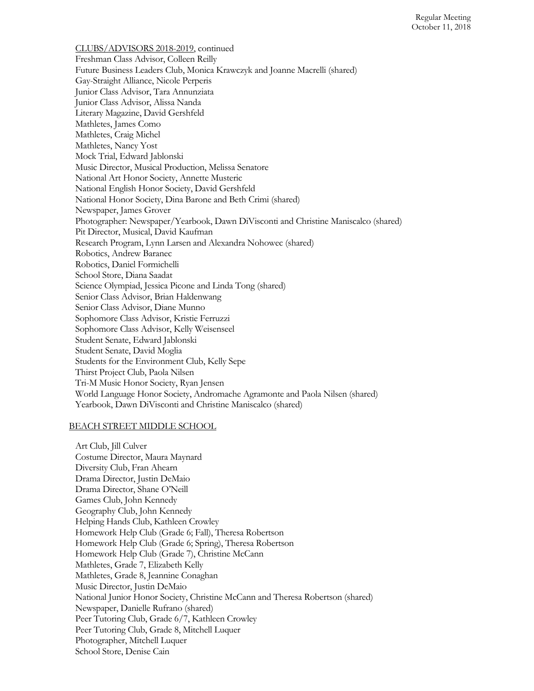CLUBS/ADVISORS 2018-2019, continued Freshman Class Advisor, Colleen Reilly Future Business Leaders Club, Monica Krawczyk and Joanne Macrelli (shared) Gay-Straight Alliance, Nicole Perperis Junior Class Advisor, Tara Annunziata Junior Class Advisor, Alissa Nanda Literary Magazine, David Gershfeld Mathletes, James Como Mathletes, Craig Michel Mathletes, Nancy Yost Mock Trial, Edward Jablonski Music Director, Musical Production, Melissa Senatore National Art Honor Society, Annette Musteric National English Honor Society, David Gershfeld National Honor Society, Dina Barone and Beth Crimi (shared) Newspaper, James Grover Photographer: Newspaper/Yearbook, Dawn DiVisconti and Christine Maniscalco (shared) Pit Director, Musical, David Kaufman Research Program, Lynn Larsen and Alexandra Nohowec (shared) Robotics, Andrew Baranec Robotics, Daniel Formichelli School Store, Diana Saadat Science Olympiad, Jessica Picone and Linda Tong (shared) Senior Class Advisor, Brian Haldenwang Senior Class Advisor, Diane Munno Sophomore Class Advisor, Kristie Ferruzzi Sophomore Class Advisor, Kelly Weisenseel Student Senate, Edward Jablonski Student Senate, David Moglia Students for the Environment Club, Kelly Sepe Thirst Project Club, Paola Nilsen Tri-M Music Honor Society, Ryan Jensen World Language Honor Society, Andromache Agramonte and Paola Nilsen (shared) Yearbook, Dawn DiVisconti and Christine Maniscalco (shared)

#### BEACH STREET MIDDLE SCHOOL

Art Club, Jill Culver Costume Director, Maura Maynard Diversity Club, Fran Ahearn Drama Director, Justin DeMaio Drama Director, Shane O'Neill Games Club, John Kennedy Geography Club, John Kennedy Helping Hands Club, Kathleen Crowley Homework Help Club (Grade 6; Fall), Theresa Robertson Homework Help Club (Grade 6; Spring), Theresa Robertson Homework Help Club (Grade 7), Christine McCann Mathletes, Grade 7, Elizabeth Kelly Mathletes, Grade 8, Jeannine Conaghan Music Director, Justin DeMaio National Junior Honor Society, Christine McCann and Theresa Robertson (shared) Newspaper, Danielle Rufrano (shared) Peer Tutoring Club, Grade 6/7, Kathleen Crowley Peer Tutoring Club, Grade 8, Mitchell Luquer Photographer, Mitchell Luquer School Store, Denise Cain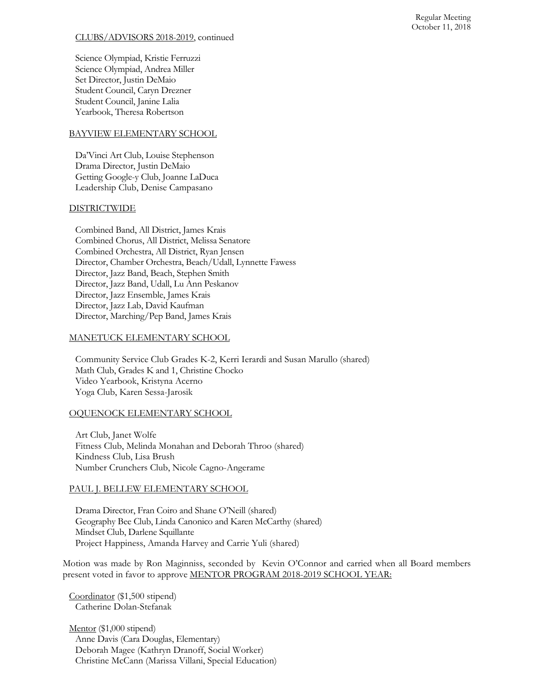### CLUBS/ADVISORS 2018-2019, continued

Science Olympiad, Kristie Ferruzzi Science Olympiad, Andrea Miller Set Director, Justin DeMaio Student Council, Caryn Drezner Student Council, Janine Lalia Yearbook, Theresa Robertson

### BAYVIEW ELEMENTARY SCHOOL

Da'Vinci Art Club, Louise Stephenson Drama Director, Justin DeMaio Getting Google-y Club, Joanne LaDuca Leadership Club, Denise Campasano

## **DISTRICTWIDE**

Combined Band, All District, James Krais Combined Chorus, All District, Melissa Senatore Combined Orchestra, All District, Ryan Jensen Director, Chamber Orchestra, Beach/Udall, Lynnette Fawess Director, Jazz Band, Beach, Stephen Smith Director, Jazz Band, Udall, Lu Ann Peskanov Director, Jazz Ensemble, James Krais Director, Jazz Lab, David Kaufman Director, Marching/Pep Band, James Krais

## MANETUCK ELEMENTARY SCHOOL

Community Service Club Grades K-2, Kerri Ierardi and Susan Marullo (shared) Math Club, Grades K and 1, Christine Chocko Video Yearbook, Kristyna Acerno Yoga Club, Karen Sessa-Jarosik

# OQUENOCK ELEMENTARY SCHOOL

Art Club, Janet Wolfe Fitness Club, Melinda Monahan and Deborah Throo (shared) Kindness Club, Lisa Brush Number Crunchers Club, Nicole Cagno-Angerame

### PAUL J. BELLEW ELEMENTARY SCHOOL

Drama Director, Fran Coiro and Shane O'Neill (shared) Geography Bee Club, Linda Canonico and Karen McCarthy (shared) Mindset Club, Darlene Squillante Project Happiness, Amanda Harvey and Carrie Yuli (shared)

Motion was made by Ron Maginniss, seconded by Kevin O'Connor and carried when all Board members present voted in favor to approve MENTOR PROGRAM 2018-2019 SCHOOL YEAR:

Coordinator (\$1,500 stipend) Catherine Dolan-Stefanak

Mentor (\$1,000 stipend) Anne Davis (Cara Douglas, Elementary) Deborah Magee (Kathryn Dranoff, Social Worker) Christine McCann (Marissa Villani, Special Education)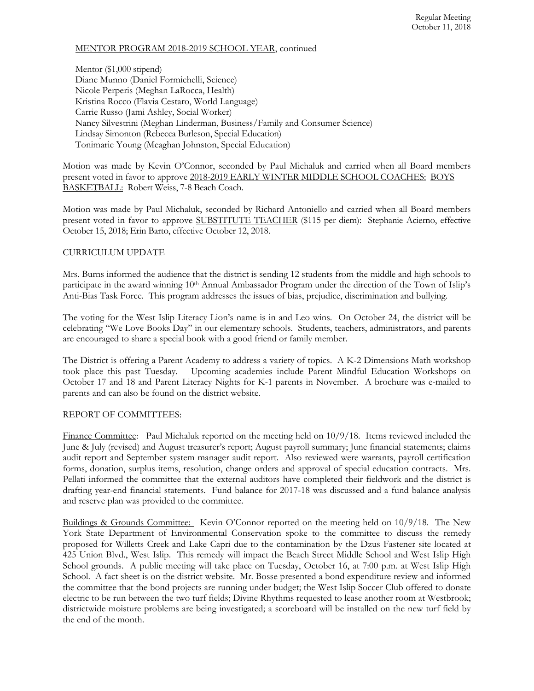### MENTOR PROGRAM 2018-2019 SCHOOL YEAR, continued

Mentor (\$1,000 stipend) Diane Munno (Daniel Formichelli, Science) Nicole Perperis (Meghan LaRocca, Health) Kristina Rocco (Flavia Cestaro, World Language) Carrie Russo (Jami Ashley, Social Worker) Nancy Silvestrini (Meghan Linderman, Business/Family and Consumer Science) Lindsay Simonton (Rebecca Burleson, Special Education) Tonimarie Young (Meaghan Johnston, Special Education)

Motion was made by Kevin O'Connor, seconded by Paul Michaluk and carried when all Board members present voted in favor to approve 2018-2019 EARLY WINTER MIDDLE SCHOOL COACHES: BOYS BASKETBALL: Robert Weiss, 7-8 Beach Coach.

Motion was made by Paul Michaluk, seconded by Richard Antoniello and carried when all Board members present voted in favor to approve SUBSTITUTE TEACHER (\$115 per diem): Stephanie Acierno, effective October 15, 2018; Erin Barto, effective October 12, 2018.

# CURRICULUM UPDATE

Mrs. Burns informed the audience that the district is sending 12 students from the middle and high schools to participate in the award winning 10<sup>th</sup> Annual Ambassador Program under the direction of the Town of Islip's Anti-Bias Task Force. This program addresses the issues of bias, prejudice, discrimination and bullying.

The voting for the West Islip Literacy Lion's name is in and Leo wins. On October 24, the district will be celebrating "We Love Books Day" in our elementary schools. Students, teachers, administrators, and parents are encouraged to share a special book with a good friend or family member.

The District is offering a Parent Academy to address a variety of topics. A K-2 Dimensions Math workshop took place this past Tuesday. Upcoming academies include Parent Mindful Education Workshops on October 17 and 18 and Parent Literacy Nights for K-1 parents in November. A brochure was e-mailed to parents and can also be found on the district website.

### REPORT OF COMMITTEES:

Finance Committee: Paul Michaluk reported on the meeting held on  $10/9/18$ . Items reviewed included the June & July (revised) and August treasurer's report; August payroll summary; June financial statements; claims audit report and September system manager audit report. Also reviewed were warrants, payroll certification forms, donation, surplus items, resolution, change orders and approval of special education contracts. Mrs. Pellati informed the committee that the external auditors have completed their fieldwork and the district is drafting year-end financial statements. Fund balance for 2017-18 was discussed and a fund balance analysis and reserve plan was provided to the committee.

Buildings & Grounds Committee: Kevin O'Connor reported on the meeting held on 10/9/18. The New York State Department of Environmental Conservation spoke to the committee to discuss the remedy proposed for Willetts Creek and Lake Capri due to the contamination by the Dzus Fastener site located at 425 Union Blvd., West Islip. This remedy will impact the Beach Street Middle School and West Islip High School grounds. A public meeting will take place on Tuesday, October 16, at 7:00 p.m. at West Islip High School. A fact sheet is on the district website. Mr. Bosse presented a bond expenditure review and informed the committee that the bond projects are running under budget; the West Islip Soccer Club offered to donate electric to be run between the two turf fields; Divine Rhythms requested to lease another room at Westbrook; districtwide moisture problems are being investigated; a scoreboard will be installed on the new turf field by the end of the month.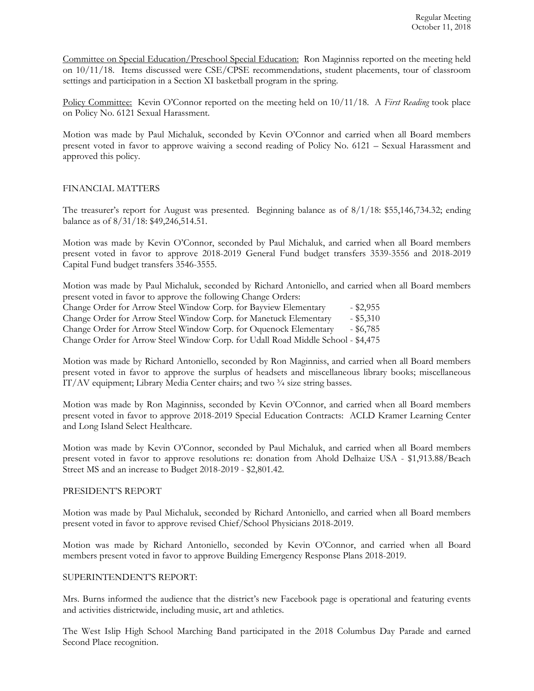Committee on Special Education/Preschool Special Education: Ron Maginniss reported on the meeting held on 10/11/18. Items discussed were CSE/CPSE recommendations, student placements, tour of classroom settings and participation in a Section XI basketball program in the spring.

Policy Committee: Kevin O'Connor reported on the meeting held on 10/11/18. A *First Reading* took place on Policy No. 6121 Sexual Harassment.

Motion was made by Paul Michaluk, seconded by Kevin O'Connor and carried when all Board members present voted in favor to approve waiving a second reading of Policy No. 6121 – Sexual Harassment and approved this policy.

## FINANCIAL MATTERS

The treasurer's report for August was presented. Beginning balance as of 8/1/18: \$55,146,734.32; ending balance as of 8/31/18: \$49,246,514.51.

Motion was made by Kevin O'Connor, seconded by Paul Michaluk, and carried when all Board members present voted in favor to approve 2018-2019 General Fund budget transfers 3539-3556 and 2018-2019 Capital Fund budget transfers 3546-3555.

Motion was made by Paul Michaluk, seconded by Richard Antoniello, and carried when all Board members present voted in favor to approve the following Change Orders:

|  |  | Change Order for Arrow Steel Window Corp. for Bayview Elementary                 | $-$ \$2,955 |
|--|--|----------------------------------------------------------------------------------|-------------|
|  |  | Change Order for Arrow Steel Window Corp. for Manetuck Elementary                | $-$ \$5,310 |
|  |  | Change Order for Arrow Steel Window Corp. for Oquenock Elementary                | $-$ \$6,785 |
|  |  | Change Order for Arrow Steel Window Corp. for Udall Road Middle School - \$4,475 |             |

Motion was made by Richard Antoniello, seconded by Ron Maginniss, and carried when all Board members present voted in favor to approve the surplus of headsets and miscellaneous library books; miscellaneous IT/AV equipment; Library Media Center chairs; and two ¾ size string basses.

Motion was made by Ron Maginniss, seconded by Kevin O'Connor, and carried when all Board members present voted in favor to approve 2018-2019 Special Education Contracts: ACLD Kramer Learning Center and Long Island Select Healthcare.

Motion was made by Kevin O'Connor, seconded by Paul Michaluk, and carried when all Board members present voted in favor to approve resolutions re: donation from Ahold Delhaize USA - \$1,913.88/Beach Street MS and an increase to Budget 2018-2019 - \$2,801.42.

### PRESIDENT'S REPORT

Motion was made by Paul Michaluk, seconded by Richard Antoniello, and carried when all Board members present voted in favor to approve revised Chief/School Physicians 2018-2019.

Motion was made by Richard Antoniello, seconded by Kevin O'Connor, and carried when all Board members present voted in favor to approve Building Emergency Response Plans 2018-2019.

### SUPERINTENDENT'S REPORT:

Mrs. Burns informed the audience that the district's new Facebook page is operational and featuring events and activities districtwide, including music, art and athletics.

The West Islip High School Marching Band participated in the 2018 Columbus Day Parade and earned Second Place recognition.